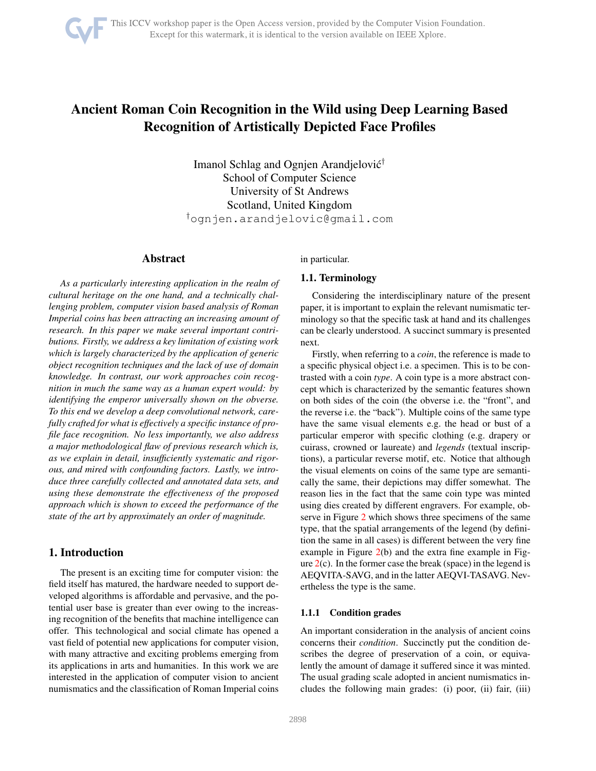

# Ancient Roman Coin Recognition in the Wild using Deep Learning Based Recognition of Artistically Depicted Face Profiles

Imanol Schlag and Ognjen Arandjelović<sup>†</sup> School of Computer Science University of St Andrews Scotland, United Kingdom †ognjen.arandjelovic@gmail.com

## Abstract

*As a particularly interesting application in the realm of cultural heritage on the one hand, and a technically challenging problem, computer vision based analysis of Roman Imperial coins has been attracting an increasing amount of research. In this paper we make several important contributions. Firstly, we address a key limitation of existing work which is largely characterized by the application of generic object recognition techniques and the lack of use of domain knowledge. In contrast, our work approaches coin recognition in much the same way as a human expert would: by identifying the emperor universally shown on the obverse. To this end we develop a deep convolutional network, carefully crafted for what is effectively a specific instance of profile face recognition. No less importantly, we also address a major methodological flaw of previous research which is, as we explain in detail, insufficiently systematic and rigorous, and mired with confounding factors. Lastly, we introduce three carefully collected and annotated data sets, and using these demonstrate the effectiveness of the proposed approach which is shown to exceed the performance of the state of the art by approximately an order of magnitude.*

## 1. Introduction

The present is an exciting time for computer vision: the field itself has matured, the hardware needed to support developed algorithms is affordable and pervasive, and the potential user base is greater than ever owing to the increasing recognition of the benefits that machine intelligence can offer. This technological and social climate has opened a vast field of potential new applications for computer vision, with many attractive and exciting problems emerging from its applications in arts and humanities. In this work we are interested in the application of computer vision to ancient numismatics and the classification of Roman Imperial coins in particular.

# 1.1. Terminology

Considering the interdisciplinary nature of the present paper, it is important to explain the relevant numismatic terminology so that the specific task at hand and its challenges can be clearly understood. A succinct summary is presented next.

Firstly, when referring to a *coin*, the reference is made to a specific physical object i.e. a specimen. This is to be contrasted with a coin *type*. A coin type is a more abstract concept which is characterized by the semantic features shown on both sides of the coin (the obverse i.e. the "front", and the reverse i.e. the "back"). Multiple coins of the same type have the same visual elements e.g. the head or bust of a particular emperor with specific clothing (e.g. drapery or cuirass, crowned or laureate) and *legends* (textual inscriptions), a particular reverse motif, etc. Notice that although the visual elements on coins of the same type are semantically the same, their depictions may differ somewhat. The reason lies in the fact that the same coin type was minted using dies created by different engravers. For example, observe in Figure [2](#page-3-0) which shows three specimens of the same type, that the spatial arrangements of the legend (by definition the same in all cases) is different between the very fine example in Figure  $2(b)$  $2(b)$  and the extra fine example in Figure  $2(c)$  $2(c)$ . In the former case the break (space) in the legend is AEQVITA-SAVG, and in the latter AEQVI-TASAVG. Nevertheless the type is the same.

# 1.1.1 Condition grades

An important consideration in the analysis of ancient coins concerns their *condition*. Succinctly put the condition describes the degree of preservation of a coin, or equivalently the amount of damage it suffered since it was minted. The usual grading scale adopted in ancient numismatics includes the following main grades: (i) poor, (ii) fair, (iii)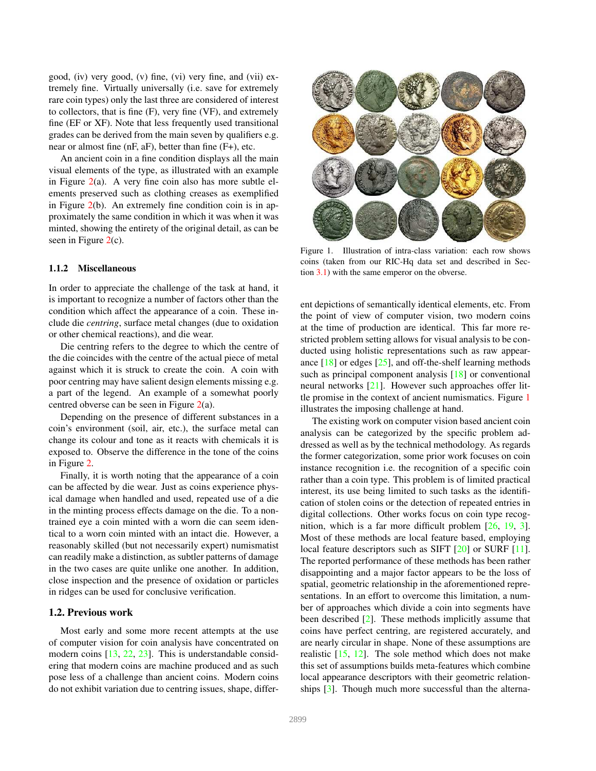<span id="page-1-1"></span>good, (iv) very good, (v) fine, (vi) very fine, and (vii) extremely fine. Virtually universally (i.e. save for extremely rare coin types) only the last three are considered of interest to collectors, that is fine (F), very fine (VF), and extremely fine (EF or XF). Note that less frequently used transitional grades can be derived from the main seven by qualifiers e.g. near or almost fine (nF, aF), better than fine (F+), etc.

An ancient coin in a fine condition displays all the main visual elements of the type, as illustrated with an example in Figure  $2(a)$  $2(a)$ . A very fine coin also has more subtle elements preserved such as clothing creases as exemplified in Figure [2\(](#page-3-0)b). An extremely fine condition coin is in approximately the same condition in which it was when it was minted, showing the entirety of the original detail, as can be seen in Figure [2\(](#page-3-0)c).

## 1.1.2 Miscellaneous

In order to appreciate the challenge of the task at hand, it is important to recognize a number of factors other than the condition which affect the appearance of a coin. These include die *centring*, surface metal changes (due to oxidation or other chemical reactions), and die wear.

Die centring refers to the degree to which the centre of the die coincides with the centre of the actual piece of metal against which it is struck to create the coin. A coin with poor centring may have salient design elements missing e.g. a part of the legend. An example of a somewhat poorly centred obverse can be seen in Figure [2\(](#page-3-0)a).

Depending on the presence of different substances in a coin's environment (soil, air, etc.), the surface metal can change its colour and tone as it reacts with chemicals it is exposed to. Observe the difference in the tone of the coins in Figure [2.](#page-3-0)

Finally, it is worth noting that the appearance of a coin can be affected by die wear. Just as coins experience physical damage when handled and used, repeated use of a die in the minting process effects damage on the die. To a nontrained eye a coin minted with a worn die can seem identical to a worn coin minted with an intact die. However, a reasonably skilled (but not necessarily expert) numismatist can readily make a distinction, as subtler patterns of damage in the two cases are quite unlike one another. In addition, close inspection and the presence of oxidation or particles in ridges can be used for conclusive verification.

## 1.2. Previous work

Most early and some more recent attempts at the use of computer vision for coin analysis have concentrated on modern coins [\[13,](#page-8-0) [22,](#page-8-1) [23\]](#page-8-2). This is understandable considering that modern coins are machine produced and as such pose less of a challenge than ancient coins. Modern coins do not exhibit variation due to centring issues, shape, differ-



Figure 1. Illustration of intra-class variation: each row shows coins (taken from our RIC-Hq data set and described in Section [3.1\)](#page-3-1) with the same emperor on the obverse.

<span id="page-1-0"></span>ent depictions of semantically identical elements, etc. From the point of view of computer vision, two modern coins at the time of production are identical. This far more restricted problem setting allows for visual analysis to be conducted using holistic representations such as raw appearance  $[18]$  or edges  $[25]$ , and off-the-shelf learning methods such as principal component analysis [\[18\]](#page-8-3) or conventional neural networks [\[21\]](#page-8-5). However such approaches offer little promise in the context of ancient numismatics. Figure [1](#page-1-0) illustrates the imposing challenge at hand.

The existing work on computer vision based ancient coin analysis can be categorized by the specific problem addressed as well as by the technical methodology. As regards the former categorization, some prior work focuses on coin instance recognition i.e. the recognition of a specific coin rather than a coin type. This problem is of limited practical interest, its use being limited to such tasks as the identification of stolen coins or the detection of repeated entries in digital collections. Other works focus on coin type recognition, which is a far more difficult problem [\[26,](#page-8-6) [19,](#page-8-7) [3\]](#page-8-8). Most of these methods are local feature based, employing local feature descriptors such as SIFT [\[20\]](#page-8-9) or SURF [\[11\]](#page-8-10). The reported performance of these methods has been rather disappointing and a major factor appears to be the loss of spatial, geometric relationship in the aforementioned representations. In an effort to overcome this limitation, a number of approaches which divide a coin into segments have been described [\[2\]](#page-8-11). These methods implicitly assume that coins have perfect centring, are registered accurately, and are nearly circular in shape. None of these assumptions are realistic [\[15,](#page-8-12) [12\]](#page-8-13). The sole method which does not make this set of assumptions builds meta-features which combine local appearance descriptors with their geometric relation-ships [\[3\]](#page-8-8). Though much more successful than the alterna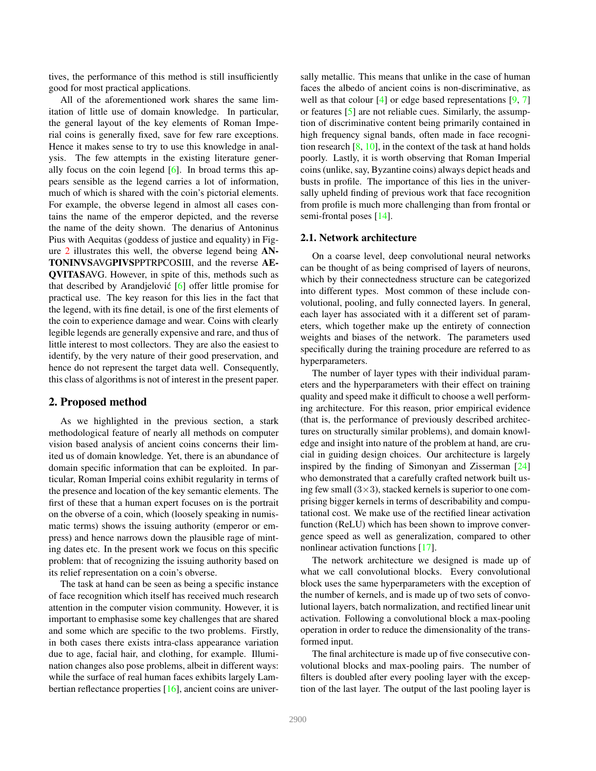<span id="page-2-0"></span>tives, the performance of this method is still insufficiently good for most practical applications.

All of the aforementioned work shares the same limitation of little use of domain knowledge. In particular, the general layout of the key elements of Roman Imperial coins is generally fixed, save for few rare exceptions. Hence it makes sense to try to use this knowledge in analysis. The few attempts in the existing literature generally focus on the coin legend [\[6\]](#page-8-14). In broad terms this appears sensible as the legend carries a lot of information, much of which is shared with the coin's pictorial elements. For example, the obverse legend in almost all cases contains the name of the emperor depicted, and the reverse the name of the deity shown. The denarius of Antoninus Pius with Aequitas (goddess of justice and equality) in Figure [2](#page-3-0) illustrates this well, the obverse legend being AN-TONINVSAVGPIVSPPTRPCOSIII, and the reverse AE-QVITASAVG. However, in spite of this, methods such as that described by Arandjelović  $[6]$  $[6]$  offer little promise for practical use. The key reason for this lies in the fact that the legend, with its fine detail, is one of the first elements of the coin to experience damage and wear. Coins with clearly legible legends are generally expensive and rare, and thus of little interest to most collectors. They are also the easiest to identify, by the very nature of their good preservation, and hence do not represent the target data well. Consequently, this class of algorithms is not of interest in the present paper.

## 2. Proposed method

As we highlighted in the previous section, a stark methodological feature of nearly all methods on computer vision based analysis of ancient coins concerns their limited us of domain knowledge. Yet, there is an abundance of domain specific information that can be exploited. In particular, Roman Imperial coins exhibit regularity in terms of the presence and location of the key semantic elements. The first of these that a human expert focuses on is the portrait on the obverse of a coin, which (loosely speaking in numismatic terms) shows the issuing authority (emperor or empress) and hence narrows down the plausible rage of minting dates etc. In the present work we focus on this specific problem: that of recognizing the issuing authority based on its relief representation on a coin's obverse.

The task at hand can be seen as being a specific instance of face recognition which itself has received much research attention in the computer vision community. However, it is important to emphasise some key challenges that are shared and some which are specific to the two problems. Firstly, in both cases there exists intra-class appearance variation due to age, facial hair, and clothing, for example. Illumination changes also pose problems, albeit in different ways: while the surface of real human faces exhibits largely Lambertian reflectance properties [\[16\]](#page-8-15), ancient coins are universally metallic. This means that unlike in the case of human faces the albedo of ancient coins is non-discriminative, as well as that colour  $[4]$  or edge based representations  $[9, 7]$  $[9, 7]$ or features [\[5\]](#page-8-19) are not reliable cues. Similarly, the assumption of discriminative content being primarily contained in high frequency signal bands, often made in face recognition research  $[8, 10]$  $[8, 10]$ , in the context of the task at hand holds poorly. Lastly, it is worth observing that Roman Imperial coins (unlike, say, Byzantine coins) always depict heads and busts in profile. The importance of this lies in the universally upheld finding of previous work that face recognition from profile is much more challenging than from frontal or semi-frontal poses [\[14\]](#page-8-22).

#### 2.1. Network architecture

On a coarse level, deep convolutional neural networks can be thought of as being comprised of layers of neurons, which by their connectedness structure can be categorized into different types. Most common of these include convolutional, pooling, and fully connected layers. In general, each layer has associated with it a different set of parameters, which together make up the entirety of connection weights and biases of the network. The parameters used specifically during the training procedure are referred to as hyperparameters.

The number of layer types with their individual parameters and the hyperparameters with their effect on training quality and speed make it difficult to choose a well performing architecture. For this reason, prior empirical evidence (that is, the performance of previously described architectures on structurally similar problems), and domain knowledge and insight into nature of the problem at hand, are crucial in guiding design choices. Our architecture is largely inspired by the finding of Simonyan and Zisserman [\[24\]](#page-8-23) who demonstrated that a carefully crafted network built using few small  $(3\times3)$ , stacked kernels is superior to one comprising bigger kernels in terms of describability and computational cost. We make use of the rectified linear activation function (ReLU) which has been shown to improve convergence speed as well as generalization, compared to other nonlinear activation functions [\[17\]](#page-8-24).

The network architecture we designed is made up of what we call convolutional blocks. Every convolutional block uses the same hyperparameters with the exception of the number of kernels, and is made up of two sets of convolutional layers, batch normalization, and rectified linear unit activation. Following a convolutional block a max-pooling operation in order to reduce the dimensionality of the transformed input.

The final architecture is made up of five consecutive convolutional blocks and max-pooling pairs. The number of filters is doubled after every pooling layer with the exception of the last layer. The output of the last pooling layer is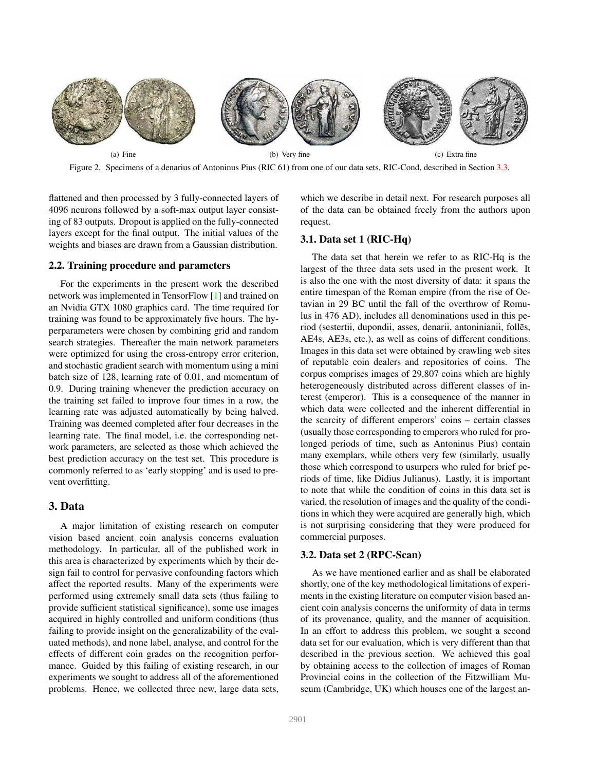<span id="page-3-3"></span>

<span id="page-3-0"></span>Figure 2. Specimens of a denarius of Antoninus Pius (RIC 61) from one of our data sets, RIC-Cond, described in Section [3.3.](#page-4-0)

flattened and then processed by 3 fully-connected layers of 4096 neurons followed by a soft-max output layer consisting of 83 outputs. Dropout is applied on the fully-connected layers except for the final output. The initial values of the weights and biases are drawn from a Gaussian distribution.

#### 2.2. Training procedure and parameters

For the experiments in the present work the described network was implemented in TensorFlow [\[1\]](#page-8-25) and trained on an Nvidia GTX 1080 graphics card. The time required for training was found to be approximately five hours. The hyperparameters were chosen by combining grid and random search strategies. Thereafter the main network parameters were optimized for using the cross-entropy error criterion, and stochastic gradient search with momentum using a mini batch size of 128, learning rate of 0.01, and momentum of 0.9. During training whenever the prediction accuracy on the training set failed to improve four times in a row, the learning rate was adjusted automatically by being halved. Training was deemed completed after four decreases in the learning rate. The final model, i.e. the corresponding network parameters, are selected as those which achieved the best prediction accuracy on the test set. This procedure is commonly referred to as 'early stopping' and is used to prevent overfitting.

## 3. Data

A major limitation of existing research on computer vision based ancient coin analysis concerns evaluation methodology. In particular, all of the published work in this area is characterized by experiments which by their design fail to control for pervasive confounding factors which affect the reported results. Many of the experiments were performed using extremely small data sets (thus failing to provide sufficient statistical significance), some use images acquired in highly controlled and uniform conditions (thus failing to provide insight on the generalizability of the evaluated methods), and none label, analyse, and control for the effects of different coin grades on the recognition performance. Guided by this failing of existing research, in our experiments we sought to address all of the aforementioned problems. Hence, we collected three new, large data sets,

which we describe in detail next. For research purposes all of the data can be obtained freely from the authors upon request.

# <span id="page-3-1"></span>3.1. Data set 1 (RIC-Hq)

The data set that herein we refer to as RIC-Hq is the largest of the three data sets used in the present work. It is also the one with the most diversity of data: it spans the entire timespan of the Roman empire (from the rise of Octavian in 29 BC until the fall of the overthrow of Romulus in 476 AD), includes all denominations used in this period (sestertii, dupondii, asses, denarii, antoninianii, follēs, AE4s, AE3s, etc.), as well as coins of different conditions. Images in this data set were obtained by crawling web sites of reputable coin dealers and repositories of coins. The corpus comprises images of 29,807 coins which are highly heterogeneously distributed across different classes of interest (emperor). This is a consequence of the manner in which data were collected and the inherent differential in the scarcity of different emperors' coins – certain classes (usually those corresponding to emperors who ruled for prolonged periods of time, such as Antoninus Pius) contain many exemplars, while others very few (similarly, usually those which correspond to usurpers who ruled for brief periods of time, like Didius Julianus). Lastly, it is important to note that while the condition of coins in this data set is varied, the resolution of images and the quality of the conditions in which they were acquired are generally high, which is not surprising considering that they were produced for commercial purposes.

### <span id="page-3-2"></span>3.2. Data set 2 (RPC-Scan)

As we have mentioned earlier and as shall be elaborated shortly, one of the key methodological limitations of experiments in the existing literature on computer vision based ancient coin analysis concerns the uniformity of data in terms of its provenance, quality, and the manner of acquisition. In an effort to address this problem, we sought a second data set for our evaluation, which is very different than that described in the previous section. We achieved this goal by obtaining access to the collection of images of Roman Provincial coins in the collection of the Fitzwilliam Museum (Cambridge, UK) which houses one of the largest an-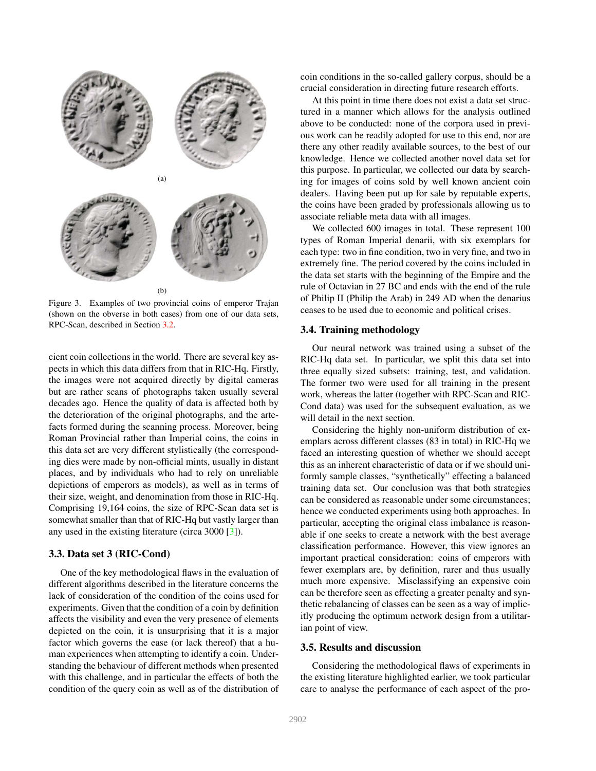<span id="page-4-1"></span>

Figure 3. Examples of two provincial coins of emperor Trajan (shown on the obverse in both cases) from one of our data sets, RPC-Scan, described in Section [3.2.](#page-3-2)

cient coin collections in the world. There are several key aspects in which this data differs from that in RIC-Hq. Firstly, the images were not acquired directly by digital cameras but are rather scans of photographs taken usually several decades ago. Hence the quality of data is affected both by the deterioration of the original photographs, and the artefacts formed during the scanning process. Moreover, being Roman Provincial rather than Imperial coins, the coins in this data set are very different stylistically (the corresponding dies were made by non-official mints, usually in distant places, and by individuals who had to rely on unreliable depictions of emperors as models), as well as in terms of their size, weight, and denomination from those in RIC-Hq. Comprising 19,164 coins, the size of RPC-Scan data set is somewhat smaller than that of RIC-Hq but vastly larger than any used in the existing literature (circa 3000 [\[3\]](#page-8-8)).

### <span id="page-4-0"></span>3.3. Data set 3 (RIC-Cond)

One of the key methodological flaws in the evaluation of different algorithms described in the literature concerns the lack of consideration of the condition of the coins used for experiments. Given that the condition of a coin by definition affects the visibility and even the very presence of elements depicted on the coin, it is unsurprising that it is a major factor which governs the ease (or lack thereof) that a human experiences when attempting to identify a coin. Understanding the behaviour of different methods when presented with this challenge, and in particular the effects of both the condition of the query coin as well as of the distribution of coin conditions in the so-called gallery corpus, should be a crucial consideration in directing future research efforts.

At this point in time there does not exist a data set structured in a manner which allows for the analysis outlined above to be conducted: none of the corpora used in previous work can be readily adopted for use to this end, nor are there any other readily available sources, to the best of our knowledge. Hence we collected another novel data set for this purpose. In particular, we collected our data by searching for images of coins sold by well known ancient coin dealers. Having been put up for sale by reputable experts, the coins have been graded by professionals allowing us to associate reliable meta data with all images.

We collected 600 images in total. These represent 100 types of Roman Imperial denarii, with six exemplars for each type: two in fine condition, two in very fine, and two in extremely fine. The period covered by the coins included in the data set starts with the beginning of the Empire and the rule of Octavian in 27 BC and ends with the end of the rule of Philip II (Philip the Arab) in 249 AD when the denarius ceases to be used due to economic and political crises.

#### 3.4. Training methodology

Our neural network was trained using a subset of the RIC-Hq data set. In particular, we split this data set into three equally sized subsets: training, test, and validation. The former two were used for all training in the present work, whereas the latter (together with RPC-Scan and RIC-Cond data) was used for the subsequent evaluation, as we will detail in the next section.

Considering the highly non-uniform distribution of exemplars across different classes (83 in total) in RIC-Hq we faced an interesting question of whether we should accept this as an inherent characteristic of data or if we should uniformly sample classes, "synthetically" effecting a balanced training data set. Our conclusion was that both strategies can be considered as reasonable under some circumstances; hence we conducted experiments using both approaches. In particular, accepting the original class imbalance is reasonable if one seeks to create a network with the best average classification performance. However, this view ignores an important practical consideration: coins of emperors with fewer exemplars are, by definition, rarer and thus usually much more expensive. Misclassifying an expensive coin can be therefore seen as effecting a greater penalty and synthetic rebalancing of classes can be seen as a way of implicitly producing the optimum network design from a utilitarian point of view.

## 3.5. Results and discussion

Considering the methodological flaws of experiments in the existing literature highlighted earlier, we took particular care to analyse the performance of each aspect of the pro-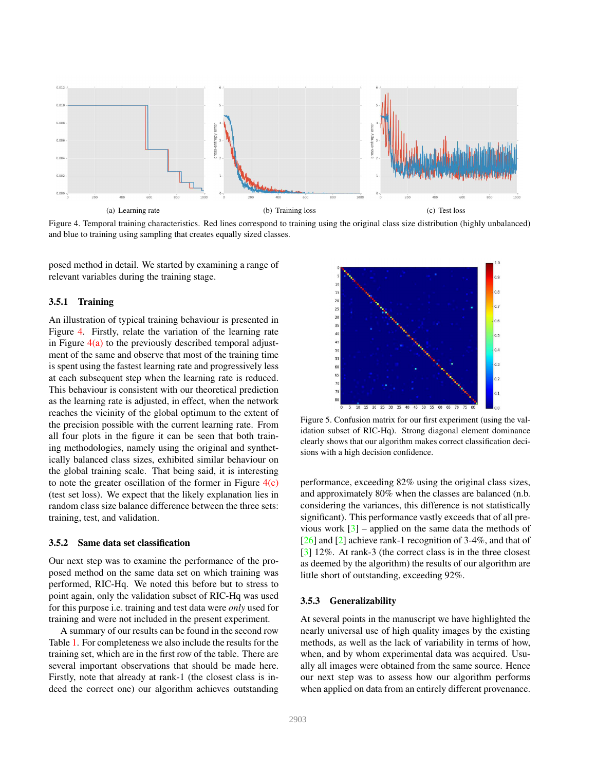<span id="page-5-4"></span><span id="page-5-1"></span>

<span id="page-5-0"></span>Figure 4. Temporal training characteristics. Red lines correspond to training using the original class size distribution (highly unbalanced) and blue to training using sampling that creates equally sized classes.

posed method in detail. We started by examining a range of relevant variables during the training stage.

## 3.5.1 Training

An illustration of typical training behaviour is presented in Figure [4.](#page-5-0) Firstly, relate the variation of the learning rate in Figure  $4(a)$  to the previously described temporal adjustment of the same and observe that most of the training time is spent using the fastest learning rate and progressively less at each subsequent step when the learning rate is reduced. This behaviour is consistent with our theoretical prediction as the learning rate is adjusted, in effect, when the network reaches the vicinity of the global optimum to the extent of the precision possible with the current learning rate. From all four plots in the figure it can be seen that both training methodologies, namely using the original and synthetically balanced class sizes, exhibited similar behaviour on the global training scale. That being said, it is interesting to note the greater oscillation of the former in Figure  $4(c)$ (test set loss). We expect that the likely explanation lies in random class size balance difference between the three sets: training, test, and validation.

#### 3.5.2 Same data set classification

Our next step was to examine the performance of the proposed method on the same data set on which training was performed, RIC-Hq. We noted this before but to stress to point again, only the validation subset of RIC-Hq was used for this purpose i.e. training and test data were *only* used for training and were not included in the present experiment.

A summary of our results can be found in the second row Table [1.](#page-6-0) For completeness we also include the results for the training set, which are in the first row of the table. There are several important observations that should be made here. Firstly, note that already at rank-1 (the closest class is indeed the correct one) our algorithm achieves outstanding

<span id="page-5-2"></span>

<span id="page-5-3"></span>Figure 5. Confusion matrix for our first experiment (using the validation subset of RIC-Hq). Strong diagonal element dominance clearly shows that our algorithm makes correct classification decisions with a high decision confidence.

performance, exceeding 82% using the original class sizes, and approximately 80% when the classes are balanced (n.b. considering the variances, this difference is not statistically significant). This performance vastly exceeds that of all previous work  $\lceil 3 \rceil$  – applied on the same data the methods of [\[26\]](#page-8-6) and [\[2\]](#page-8-11) achieve rank-1 recognition of 3-4%, and that of [\[3\]](#page-8-8) 12%. At rank-3 (the correct class is in the three closest as deemed by the algorithm) the results of our algorithm are little short of outstanding, exceeding 92%.

#### 3.5.3 Generalizability

At several points in the manuscript we have highlighted the nearly universal use of high quality images by the existing methods, as well as the lack of variability in terms of how, when, and by whom experimental data was acquired. Usually all images were obtained from the same source. Hence our next step was to assess how our algorithm performs when applied on data from an entirely different provenance.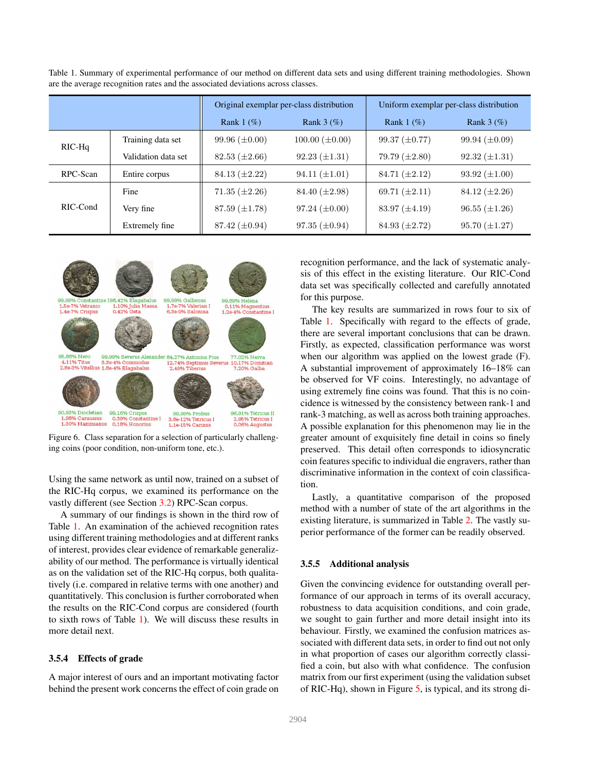|          |                     | Original exemplar per-class distribution |                       | Uniform exemplar per-class distribution |                      |
|----------|---------------------|------------------------------------------|-----------------------|-----------------------------------------|----------------------|
|          |                     | Rank $1$ $(\%)$                          | Rank $3$ $(\%)$       | Rank $1 \, (\%)$                        | Rank $3$ $(\%)$      |
| $RIC-Hq$ | Training data set   | 99.96 $(\pm 0.00)$                       | $100.00 \ (\pm 0.00)$ | 99.37 $(\pm 0.77)$                      | 99.94 $(\pm 0.09)$   |
|          | Validation data set | 82.53 $(\pm 2.66)$                       | $92.23 \ (\pm 1.31)$  | 79.79 $(\pm 2.80)$                      | $92.32 \ (\pm 1.31)$ |
| RPC-Scan | Entire corpus       | 84.13 $(\pm 2.22)$                       | 94.11 $(\pm 1.01)$    | 84.71 $(\pm 2.12)$                      | $93.92 \ (\pm 1.00)$ |
| RIC-Cond | Fine                | $71.35 \ (\pm 2.26)$                     | 84.40 $(\pm 2.98)$    | 69.71 $(\pm 2.11)$                      | 84.12 $(\pm 2.26)$   |
|          | Very fine           | 87.59 $(\pm 1.78)$                       | 97.24 $(\pm 0.00)$    | 83.97 $(\pm 4.19)$                      | $96.55 \ (\pm 1.26)$ |
|          | Extremely fine      | 87.42 $(\pm 0.94)$                       | 97.35 $(\pm 0.94)$    | 84.93 $(\pm 2.72)$                      | $95.70 \ (\pm 1.27)$ |

<span id="page-6-0"></span>Table 1. Summary of experimental performance of our method on different data sets and using different training methodologies. Shown are the average recognition rates and the associated deviations across classes.



<span id="page-6-1"></span>Figure 6. Class separation for a selection of particularly challenging coins (poor condition, non-uniform tone, etc.).

Using the same network as until now, trained on a subset of the RIC-Hq corpus, we examined its performance on the vastly different (see Section [3.2\)](#page-3-2) RPC-Scan corpus.

A summary of our findings is shown in the third row of Table [1.](#page-6-0) An examination of the achieved recognition rates using different training methodologies and at different ranks of interest, provides clear evidence of remarkable generalizability of our method. The performance is virtually identical as on the validation set of the RIC-Hq corpus, both qualitatively (i.e. compared in relative terms with one another) and quantitatively. This conclusion is further corroborated when the results on the RIC-Cond corpus are considered (fourth to sixth rows of Table [1\)](#page-6-0). We will discuss these results in more detail next.

## 3.5.4 Effects of grade

A major interest of ours and an important motivating factor behind the present work concerns the effect of coin grade on

recognition performance, and the lack of systematic analysis of this effect in the existing literature. Our RIC-Cond data set was specifically collected and carefully annotated for this purpose.

The key results are summarized in rows four to six of Table [1.](#page-6-0) Specifically with regard to the effects of grade, there are several important conclusions that can be drawn. Firstly, as expected, classification performance was worst when our algorithm was applied on the lowest grade (F). A substantial improvement of approximately 16–18% can be observed for VF coins. Interestingly, no advantage of using extremely fine coins was found. That this is no coincidence is witnessed by the consistency between rank-1 and rank-3 matching, as well as across both training approaches. A possible explanation for this phenomenon may lie in the greater amount of exquisitely fine detail in coins so finely preserved. This detail often corresponds to idiosyncratic coin features specific to individual die engravers, rather than discriminative information in the context of coin classification.

Lastly, a quantitative comparison of the proposed method with a number of state of the art algorithms in the existing literature, is summarized in Table [2.](#page-7-0) The vastly superior performance of the former can be readily observed.

#### 3.5.5 Additional analysis

Given the convincing evidence for outstanding overall performance of our approach in terms of its overall accuracy, robustness to data acquisition conditions, and coin grade, we sought to gain further and more detail insight into its behaviour. Firstly, we examined the confusion matrices associated with different data sets, in order to find out not only in what proportion of cases our algorithm correctly classified a coin, but also with what confidence. The confusion matrix from our first experiment (using the validation subset of RIC-Hq), shown in Figure [5,](#page-5-3) is typical, and its strong di-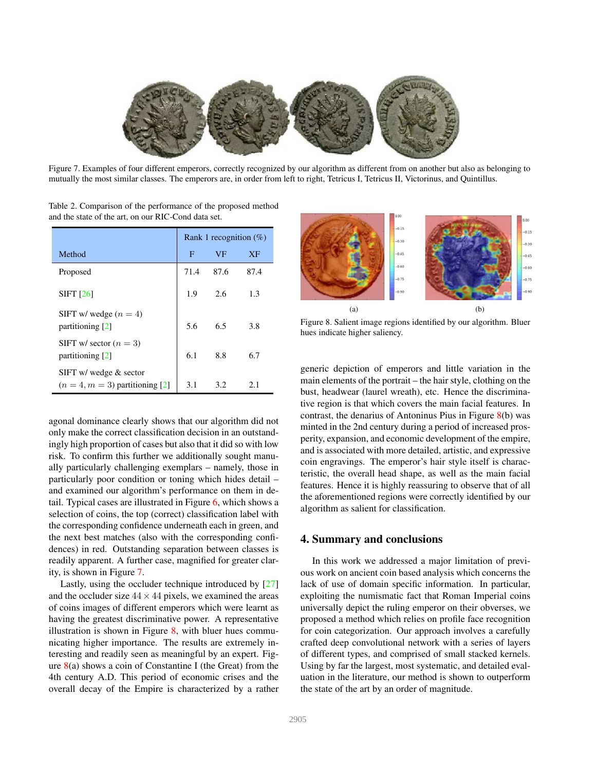<span id="page-7-3"></span>

Figure 7. Examples of four different emperors, correctly recognized by our algorithm as different from on another but also as belonging to mutually the most similar classes. The emperors are, in order from left to right, Tetricus I, Tetricus II, Victorinus, and Quintillus.

|                                                             | Rank 1 recognition $(\%)$ |           |      |
|-------------------------------------------------------------|---------------------------|-----------|------|
| Method                                                      | F                         | <b>VF</b> | XF   |
| Proposed                                                    | 71.4                      | 87.6      | 87.4 |
| SIFT $[26]$                                                 | 1.9                       | 2.6       | 1.3  |
| SIFT w/ wedge $(n = 4)$<br>partitioning [2]                 | 5.6                       | 6.5       | 3.8  |
| SIFT w/ sector $(n=3)$<br>partitioning [2]                  | 6.1                       | 8.8       | 6.7  |
| SIFT w/ wedge & sector<br>$(n = 4, m = 3)$ partitioning [2] | 3.1                       | 3.2       | 2.1  |

<span id="page-7-1"></span><span id="page-7-0"></span>Table 2. Comparison of the performance of the proposed method and the state of the art, on our RIC-Cond data set.

agonal dominance clearly shows that our algorithm did not only make the correct classification decision in an outstandingly high proportion of cases but also that it did so with low risk. To confirm this further we additionally sought manually particularly challenging exemplars – namely, those in particularly poor condition or toning which hides detail – and examined our algorithm's performance on them in detail. Typical cases are illustrated in Figure [6,](#page-6-1) which shows a selection of coins, the top (correct) classification label with the corresponding confidence underneath each in green, and the next best matches (also with the corresponding confidences) in red. Outstanding separation between classes is readily apparent. A further case, magnified for greater clarity, is shown in Figure [7.](#page-7-1)

Lastly, using the occluder technique introduced by [\[27\]](#page-8-26) and the occluder size  $44 \times 44$  pixels, we examined the areas of coins images of different emperors which were learnt as having the greatest discriminative power. A representative illustration is shown in Figure [8,](#page-7-2) with bluer hues communicating higher importance. The results are extremely interesting and readily seen as meaningful by an expert. Figure  $8(a)$  $8(a)$  shows a coin of Constantine I (the Great) from the 4th century A.D. This period of economic crises and the overall decay of the Empire is characterized by a rather



<span id="page-7-2"></span>Figure 8. Salient image regions identified by our algorithm. Bluer hues indicate higher saliency.

generic depiction of emperors and little variation in the main elements of the portrait – the hair style, clothing on the bust, headwear (laurel wreath), etc. Hence the discriminative region is that which covers the main facial features. In contrast, the denarius of Antoninus Pius in Figure [8\(](#page-7-2)b) was minted in the 2nd century during a period of increased prosperity, expansion, and economic development of the empire, and is associated with more detailed, artistic, and expressive coin engravings. The emperor's hair style itself is characteristic, the overall head shape, as well as the main facial features. Hence it is highly reassuring to observe that of all the aforementioned regions were correctly identified by our algorithm as salient for classification.

# 4. Summary and conclusions

In this work we addressed a major limitation of previous work on ancient coin based analysis which concerns the lack of use of domain specific information. In particular, exploiting the numismatic fact that Roman Imperial coins universally depict the ruling emperor on their obverses, we proposed a method which relies on profile face recognition for coin categorization. Our approach involves a carefully crafted deep convolutional network with a series of layers of different types, and comprised of small stacked kernels. Using by far the largest, most systematic, and detailed evaluation in the literature, our method is shown to outperform the state of the art by an order of magnitude.